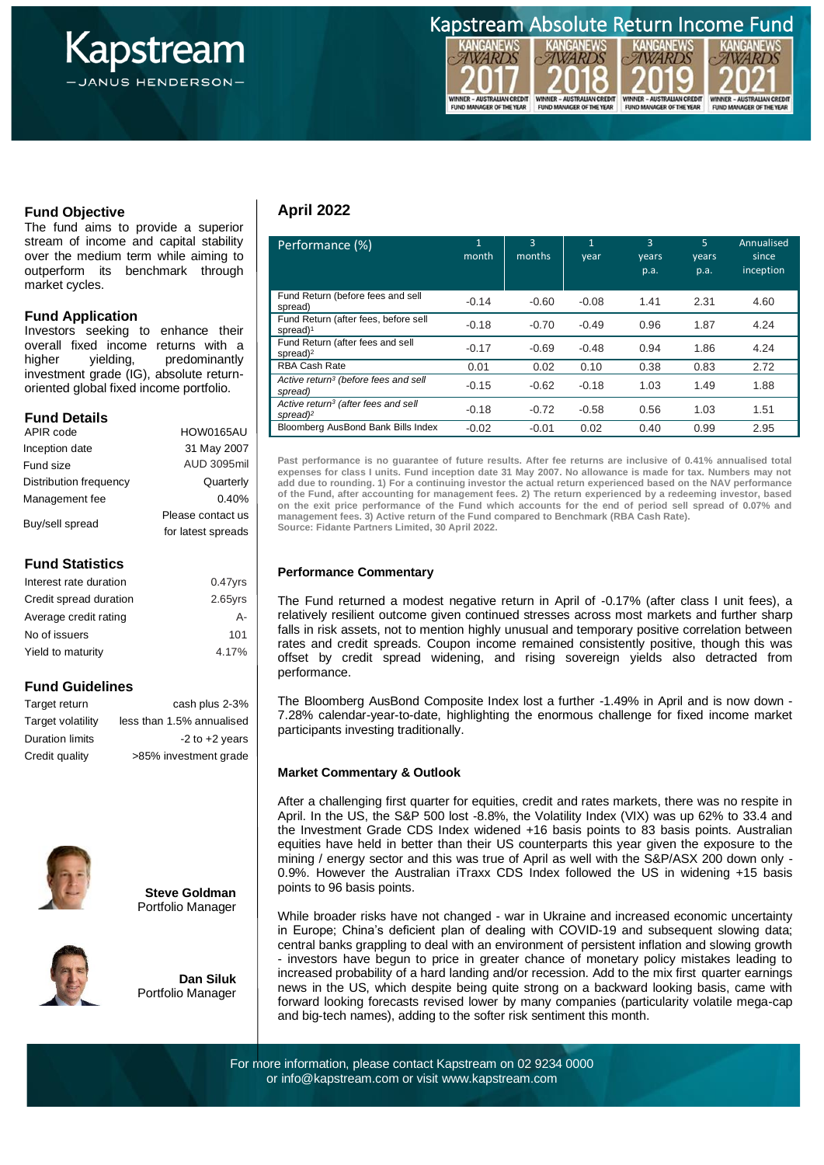

Kapstream Absolute Return Income Fund

ö

WARDS

WINNER - AUSTRALIAN CREDIT<br>FUND MANAGER OF THE YEAR

WARDS

WINNER - AUSTRALIAN CREDIT<br>FUND MANAGER OF THE YEAR

*WARD WARDS* WINNER - AUSTRALIAN CREDIT<br>FUND MANAGER OF THE YEAR WINNER - AUSTRALIAN CREDIT<br>FUND MANAGER OF THE YEAR

**Fund Objective**

 stream of income and capital stability over the medium term while aiming to The fund aims to provide a superior outperform its benchmark through market cycles.

### **Fund Application**

Investors seeking to enhance their overall fixed income returns with a higher yielding, predominantly investment grade (IG), absolute returnoriented global fixed income portfolio.

# **Fund Details**

| APIR code              | <b>HOW0165AU</b>   |  |  |
|------------------------|--------------------|--|--|
| Inception date         | 31 May 2007        |  |  |
| Fund size              | <b>AUD 3095mil</b> |  |  |
| Distribution frequency | Quarterly          |  |  |
| Management fee         | 0.40%              |  |  |
| Buy/sell spread        | Please contact us  |  |  |
|                        | for latest spreads |  |  |
|                        |                    |  |  |

# **Fund Statistics**

| Interest rate duration | $0.47$ vrs |
|------------------------|------------|
| Credit spread duration | $2.65$ yrs |
| Average credit rating  | А-         |
| No of issuers          | 101        |
| Yield to maturity      | 4.17%      |
|                        |            |

# **Fund Guidelines**

| Target return          | cash plus 2-3%            |
|------------------------|---------------------------|
| Target volatility      | less than 1.5% annualised |
| <b>Duration limits</b> | $-2$ to $+2$ years        |
| Credit quality         | >85% investment grade     |







**Dan Siluk** Portfolio Manager

### **April 2022**

| Performance (%)                                                         | $\mathbf{1}$<br>month | $\mathbf{R}$<br>months | $\mathbf{1}$<br>year | 3<br>years<br>p.a. | 5<br>years<br>p.a. | Annualised<br>since<br>inception |
|-------------------------------------------------------------------------|-----------------------|------------------------|----------------------|--------------------|--------------------|----------------------------------|
| Fund Return (before fees and sell<br>spread)                            | $-0.14$               | $-0.60$                | $-0.08$              | 1.41               | 2.31               | 4.60                             |
| Fund Return (after fees, before sell<br>spread) <sup>1</sup>            | $-0.18$               | $-0.70$                | $-0.49$              | 0.96               | 1.87               | 4.24                             |
| Fund Return (after fees and sell<br>spread) $2$                         | $-0.17$               | $-0.69$                | $-0.48$              | 0.94               | 1.86               | 4.24                             |
| <b>RBA Cash Rate</b>                                                    | 0.01                  | 0.02                   | 0.10                 | 0.38               | 0.83               | 2.72                             |
| Active return <sup>3</sup> (before fees and sell<br>spread)             | $-0.15$               | $-0.62$                | $-0.18$              | 1.03               | 1.49               | 1.88                             |
| Active return <sup>3</sup> (after fees and sell<br>spread) <sup>2</sup> | $-0.18$               | $-0.72$                | $-0.58$              | 0.56               | 1.03               | 1.51                             |
| Bloomberg AusBond Bank Bills Index                                      | $-0.02$               | $-0.01$                | 0.02                 | 0.40               | 0.99               | 2.95                             |

**Past performance is no guarantee of future results. After fee returns are inclusive of 0.41% annualised total expenses for class I units. Fund inception date 31 May 2007. No allowance is made for tax. Numbers may not add due to rounding. 1) For a continuing investor the actual return experienced based on the NAV performance of the Fund, after accounting for management fees. 2) The return experienced by a redeeming investor, based on the exit price performance of the Fund which accounts for the end of period sell spread of 0.07% and management fees. 3) Active return of the Fund compared to Benchmark (RBA Cash Rate). Source: Fidante Partners Limited, 30 April 2022.**

### **Performance Commentary**

The Fund returned a modest negative return in April of -0.17% (after class I unit fees), a relatively resilient outcome given continued stresses across most markets and further sharp falls in risk assets, not to mention highly unusual and temporary positive correlation between rates and credit spreads. Coupon income remained consistently positive, though this was offset by credit spread widening, and rising sovereign yields also detracted from performance.

The Bloomberg AusBond Composite Index lost a further -1.49% in April and is now down - 7.28% calendar-year-to-date, highlighting the enormous challenge for fixed income market participants investing traditionally.

#### **Market Commentary & Outlook**

After a challenging first quarter for equities, credit and rates markets, there was no respite in April. In the US, the S&P 500 lost -8.8%, the Volatility Index (VIX) was up 62% to 33.4 and the Investment Grade CDS Index widened +16 basis points to 83 basis points. Australian equities have held in better than their US counterparts this year given the exposure to the mining / energy sector and this was true of April as well with the S&P/ASX 200 down only - 0.9%. However the Australian iTraxx CDS Index followed the US in widening +15 basis points to 96 basis points.

While broader risks have not changed - war in Ukraine and increased economic uncertainty in Europe; China's deficient plan of dealing with COVID-19 and subsequent slowing data; central banks grappling to deal with an environment of persistent inflation and slowing growth - investors have begun to price in greater chance of monetary policy mistakes leading to increased probability of a hard landing and/or recession. Add to the mix first quarter earnings news in the US, which despite being quite strong on a backward looking basis, came with forward looking forecasts revised lower by many companies (particularity volatile mega-cap and big-tech names), adding to the softer risk sentiment this month.

For more information, please contact Kapstream on 02 9234 0000 or info@kapstream.com or visit www.kapstream.com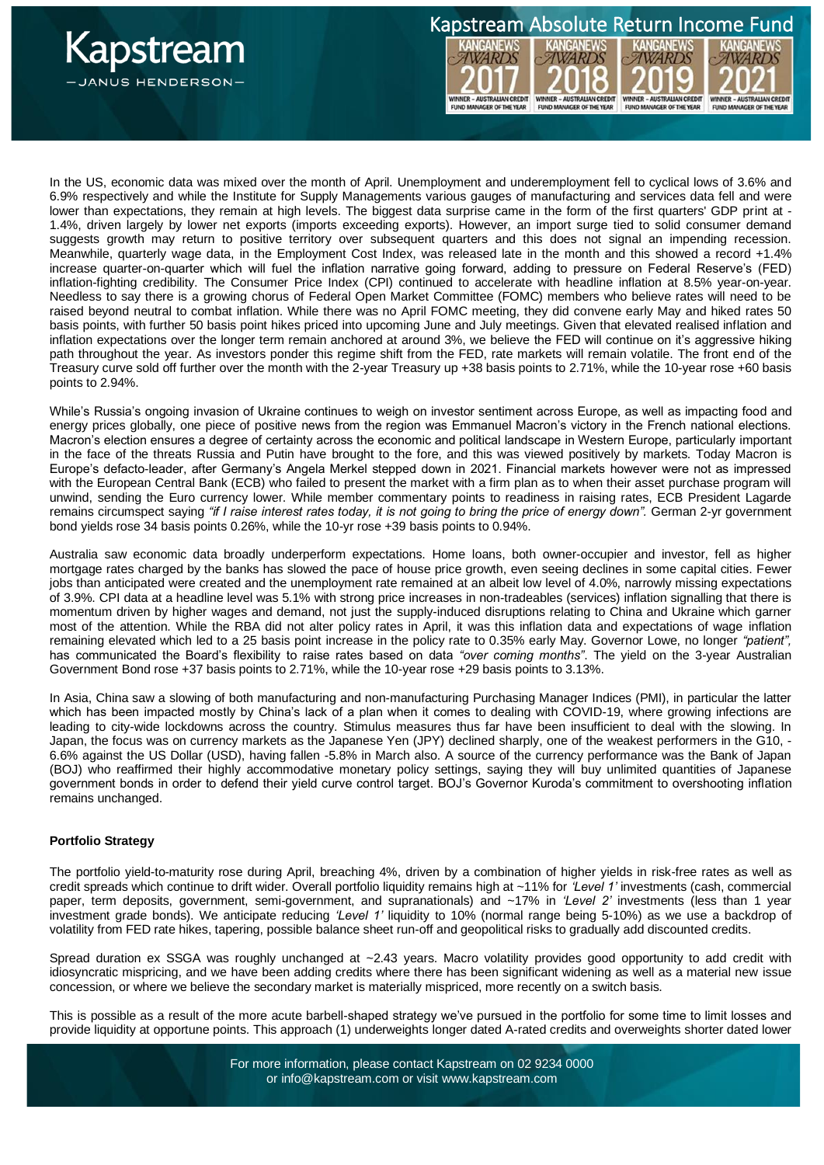

In the US, economic data was mixed over the month of April. Unemployment and underemployment fell to cyclical lows of 3.6% and 6.9% respectively and while the Institute for Supply Managements various gauges of manufacturing and services data fell and were lower than expectations, they remain at high levels. The biggest data surprise came in the form of the first quarters' GDP print at -1.4%, driven largely by lower net exports (imports exceeding exports). However, an import surge tied to solid consumer demand suggests growth may return to positive territory over subsequent quarters and this does not signal an impending recession. Meanwhile, quarterly wage data, in the Employment Cost Index, was released late in the month and this showed a record +1.4% increase quarter-on-quarter which will fuel the inflation narrative going forward, adding to pressure on Federal Reserve's (FED) inflation-fighting credibility. The Consumer Price Index (CPI) continued to accelerate with headline inflation at 8.5% year-on-year. Needless to say there is a growing chorus of Federal Open Market Committee (FOMC) members who believe rates will need to be raised beyond neutral to combat inflation. While there was no April FOMC meeting, they did convene early May and hiked rates 50 basis points, with further 50 basis point hikes priced into upcoming June and July meetings. Given that elevated realised inflation and inflation expectations over the longer term remain anchored at around 3%, we believe the FED will continue on it's aggressive hiking path throughout the year. As investors ponder this regime shift from the FED, rate markets will remain volatile. The front end of the Treasury curve sold off further over the month with the 2-year Treasury up +38 basis points to 2.71%, while the 10-year rose +60 basis points to 2.94%.

Kapstream Absolute Return Income Fund

WINNER - AUSTRALIAN CREDIT<br>FUND MANAGER OF THE YEAR

**YARD** 

WINNER - AUSTRALIAN CREDIT<br>FUND MANAGER OF THE YEAR

**ICANICI** 

WARDS

WINNER - AUSTRALIAN CREDIT<br>FUND MANAGER OF THE YEAR

**10** 

О

*VARDS* 

WINNER - AUSTRALIAN CREDIT<br>FUND MANAGER OF THE YEAR

While's Russia's ongoing invasion of Ukraine continues to weigh on investor sentiment across Europe, as well as impacting food and energy prices globally, one piece of positive news from the region was Emmanuel Macron's victory in the French national elections. Macron's election ensures a degree of certainty across the economic and political landscape in Western Europe, particularly important in the face of the threats Russia and Putin have brought to the fore, and this was viewed positively by markets. Today Macron is Europe's defacto-leader, after Germany's Angela Merkel stepped down in 2021. Financial markets however were not as impressed with the European Central Bank (ECB) who failed to present the market with a firm plan as to when their asset purchase program will unwind, sending the Euro currency lower. While member commentary points to readiness in raising rates, ECB President Lagarde remains circumspect saying *"if I raise interest rates today, it is not going to bring the price of energy down".* German 2-yr government bond yields rose 34 basis points 0.26%, while the 10-yr rose +39 basis points to 0.94%.

Australia saw economic data broadly underperform expectations. Home loans, both owner-occupier and investor, fell as higher mortgage rates charged by the banks has slowed the pace of house price growth, even seeing declines in some capital cities. Fewer jobs than anticipated were created and the unemployment rate remained at an albeit low level of 4.0%, narrowly missing expectations of 3.9%. CPI data at a headline level was 5.1% with strong price increases in non-tradeables (services) inflation signalling that there is momentum driven by higher wages and demand, not just the supply-induced disruptions relating to China and Ukraine which garner most of the attention. While the RBA did not alter policy rates in April, it was this inflation data and expectations of wage inflation remaining elevated which led to a 25 basis point increase in the policy rate to 0.35% early May. Governor Lowe, no longer *"patient",* has communicated the Board's flexibility to raise rates based on data *"over coming months"*. The yield on the 3-year Australian Government Bond rose +37 basis points to 2.71%, while the 10-year rose +29 basis points to 3.13%.

In Asia, China saw a slowing of both manufacturing and non-manufacturing Purchasing Manager Indices (PMI), in particular the latter which has been impacted mostly by China's lack of a plan when it comes to dealing with COVID-19, where growing infections are leading to city-wide lockdowns across the country. Stimulus measures thus far have been insufficient to deal with the slowing. In Japan, the focus was on currency markets as the Japanese Yen (JPY) declined sharply, one of the weakest performers in the G10, - 6.6% against the US Dollar (USD), having fallen -5.8% in March also. A source of the currency performance was the Bank of Japan (BOJ) who reaffirmed their highly accommodative monetary policy settings, saying they will buy unlimited quantities of Japanese government bonds in order to defend their yield curve control target. BOJ's Governor Kuroda's commitment to overshooting inflation remains unchanged.

#### **Portfolio Strategy**

The portfolio yield-to-maturity rose during April, breaching 4%, driven by a combination of higher yields in risk-free rates as well as credit spreads which continue to drift wider. Overall portfolio liquidity remains high at ~11% for *'Level 1'* investments (cash, commercial paper, term deposits, government, semi-government, and supranationals) and ~17% in *'Level 2'* investments (less than 1 year investment grade bonds). We anticipate reducing *'Level 1'* liquidity to 10% (normal range being 5-10%) as we use a backdrop of volatility from FED rate hikes, tapering, possible balance sheet run-off and geopolitical risks to gradually add discounted credits.

Spread duration ex SSGA was roughly unchanged at ~2.43 years. Macro volatility provides good opportunity to add credit with idiosyncratic mispricing, and we have been adding credits where there has been significant widening as well as a material new issue concession, or where we believe the secondary market is materially mispriced, more recently on a switch basis.

This is possible as a result of the more acute barbell-shaped strategy we've pursued in the portfolio for some time to limit losses and provide liquidity at opportune points. This approach (1) underweights longer dated A-rated credits and overweights shorter dated lower

> For more information, please contact Kapstream on 02 9234 0000 or info@kapstream.com or visit www.kapstream.com